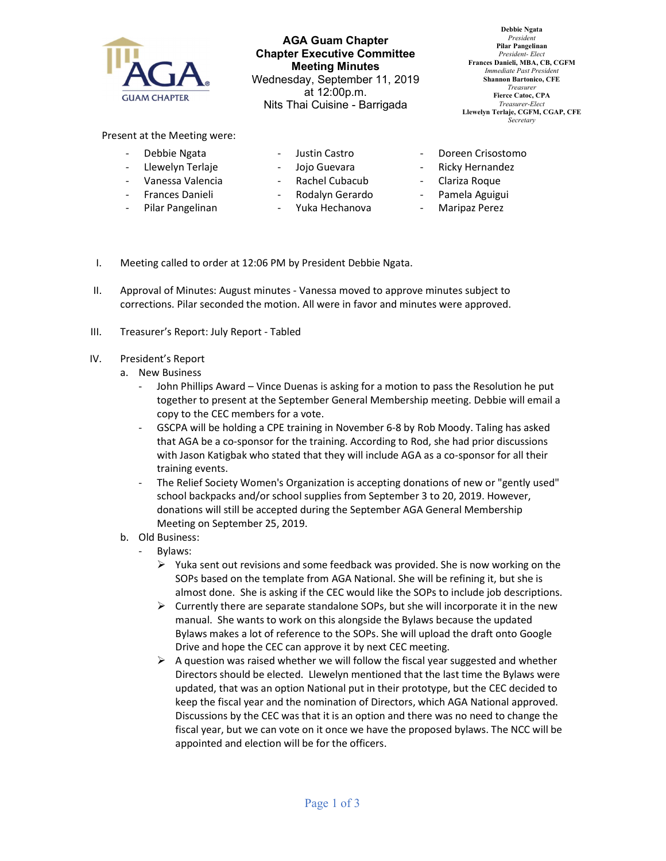

AGA Guam Chapter Chapter Executive Committee Meeting Minutes Wednesday, September 11, 2019 at 12:00p.m. Nits Thai Cuisine - Barrigada

Debbie Ngata President Pilar Pangelinan President- Elect Frances Danieli, MBA, CB, CGFM Immediate Past Presiden Shannon Bartonico, CFE Treasurer Fierce Catoc, CPA Treasurer-Elect Llewelyn Terlaje, CGFM, CGAP, CFE **Secretary** 

Present at the Meeting were:

- Debbie Ngata
- Llewelyn Terlaje
- Justin Castro
- 
- Jojo Guevara
- Vanessa Valencia - Frances Danieli
- Rachel Cubacub
- 
- Pilar Pangelinan
- Rodalyn Gerardo
- Yuka Hechanova
- Doreen Crisostomo
- Ricky Hernandez
- Clariza Roque
- Pamela Aguigui
- Maripaz Perez
- I. Meeting called to order at 12:06 PM by President Debbie Ngata.
- II. Approval of Minutes: August minutes Vanessa moved to approve minutes subject to corrections. Pilar seconded the motion. All were in favor and minutes were approved.
- III. Treasurer's Report: July Report Tabled
- IV. President's Report
	- a. New Business
		- John Phillips Award Vince Duenas is asking for a motion to pass the Resolution he put together to present at the September General Membership meeting. Debbie will email a copy to the CEC members for a vote.
		- GSCPA will be holding a CPE training in November 6-8 by Rob Moody. Taling has asked that AGA be a co-sponsor for the training. According to Rod, she had prior discussions with Jason Katigbak who stated that they will include AGA as a co-sponsor for all their training events.
		- The Relief Society Women's Organization is accepting donations of new or "gently used" school backpacks and/or school supplies from September 3 to 20, 2019. However, donations will still be accepted during the September AGA General Membership Meeting on September 25, 2019.
	- b. Old Business:
		- Bylaws:
			- $\triangleright$  Yuka sent out revisions and some feedback was provided. She is now working on the SOPs based on the template from AGA National. She will be refining it, but she is almost done. She is asking if the CEC would like the SOPs to include job descriptions.
			- $\triangleright$  Currently there are separate standalone SOPs, but she will incorporate it in the new manual. She wants to work on this alongside the Bylaws because the updated Bylaws makes a lot of reference to the SOPs. She will upload the draft onto Google Drive and hope the CEC can approve it by next CEC meeting.
			- $\triangleright$  A question was raised whether we will follow the fiscal year suggested and whether Directors should be elected. Llewelyn mentioned that the last time the Bylaws were updated, that was an option National put in their prototype, but the CEC decided to keep the fiscal year and the nomination of Directors, which AGA National approved. Discussions by the CEC was that it is an option and there was no need to change the fiscal year, but we can vote on it once we have the proposed bylaws. The NCC will be appointed and election will be for the officers.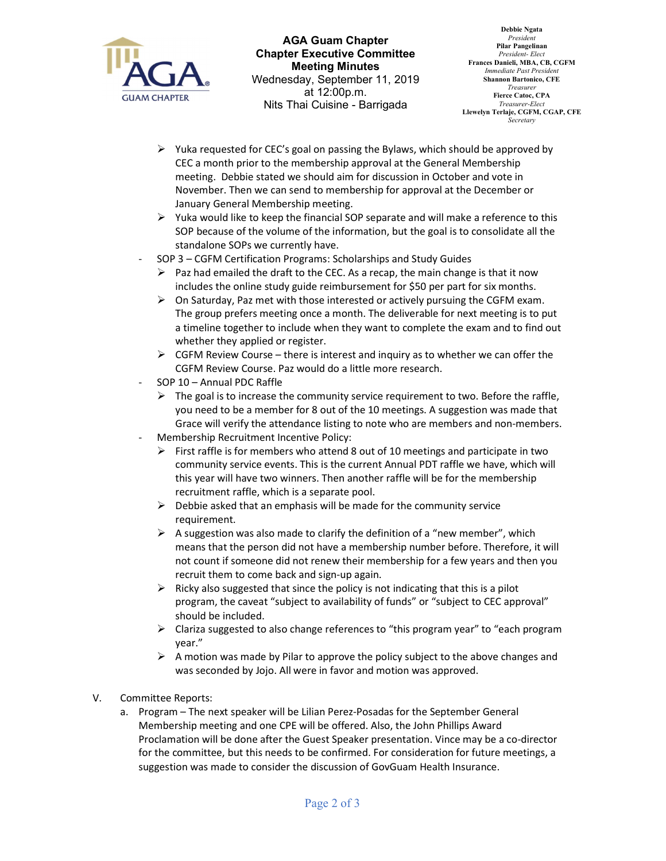

AGA Guam Chapter Chapter Executive Committee Meeting Minutes Wednesday, September 11, 2019 at 12:00p.m. Nits Thai Cuisine - Barrigada

- $\triangleright$  Yuka requested for CEC's goal on passing the Bylaws, which should be approved by CEC a month prior to the membership approval at the General Membership meeting. Debbie stated we should aim for discussion in October and vote in November. Then we can send to membership for approval at the December or January General Membership meeting.
- $\triangleright$  Yuka would like to keep the financial SOP separate and will make a reference to this SOP because of the volume of the information, but the goal is to consolidate all the standalone SOPs we currently have.
- SOP 3 CGFM Certification Programs: Scholarships and Study Guides
	- $\triangleright$  Paz had emailed the draft to the CEC. As a recap, the main change is that it now includes the online study guide reimbursement for \$50 per part for six months.
	- $\triangleright$  On Saturday, Paz met with those interested or actively pursuing the CGFM exam. The group prefers meeting once a month. The deliverable for next meeting is to put a timeline together to include when they want to complete the exam and to find out whether they applied or register.
	- $\triangleright$  CGFM Review Course there is interest and inquiry as to whether we can offer the CGFM Review Course. Paz would do a little more research.
- SOP 10 Annual PDC Raffle
	- $\triangleright$  The goal is to increase the community service requirement to two. Before the raffle, you need to be a member for 8 out of the 10 meetings. A suggestion was made that Grace will verify the attendance listing to note who are members and non-members.
- Membership Recruitment Incentive Policy:
	- First raffle is for members who attend 8 out of 10 meetings and participate in two community service events. This is the current Annual PDT raffle we have, which will this year will have two winners. Then another raffle will be for the membership recruitment raffle, which is a separate pool.
	- $\triangleright$  Debbie asked that an emphasis will be made for the community service requirement.
	- $\triangleright$  A suggestion was also made to clarify the definition of a "new member", which means that the person did not have a membership number before. Therefore, it will not count if someone did not renew their membership for a few years and then you recruit them to come back and sign-up again.
	- $\triangleright$  Ricky also suggested that since the policy is not indicating that this is a pilot program, the caveat "subject to availability of funds" or "subject to CEC approval" should be included.
	- $\triangleright$  Clariza suggested to also change references to "this program year" to "each program year."
	- $\triangleright$  A motion was made by Pilar to approve the policy subject to the above changes and was seconded by Jojo. All were in favor and motion was approved.
- V. Committee Reports:
	- a. Program The next speaker will be Lilian Perez-Posadas for the September General Membership meeting and one CPE will be offered. Also, the John Phillips Award Proclamation will be done after the Guest Speaker presentation. Vince may be a co-director for the committee, but this needs to be confirmed. For consideration for future meetings, a suggestion was made to consider the discussion of GovGuam Health Insurance.